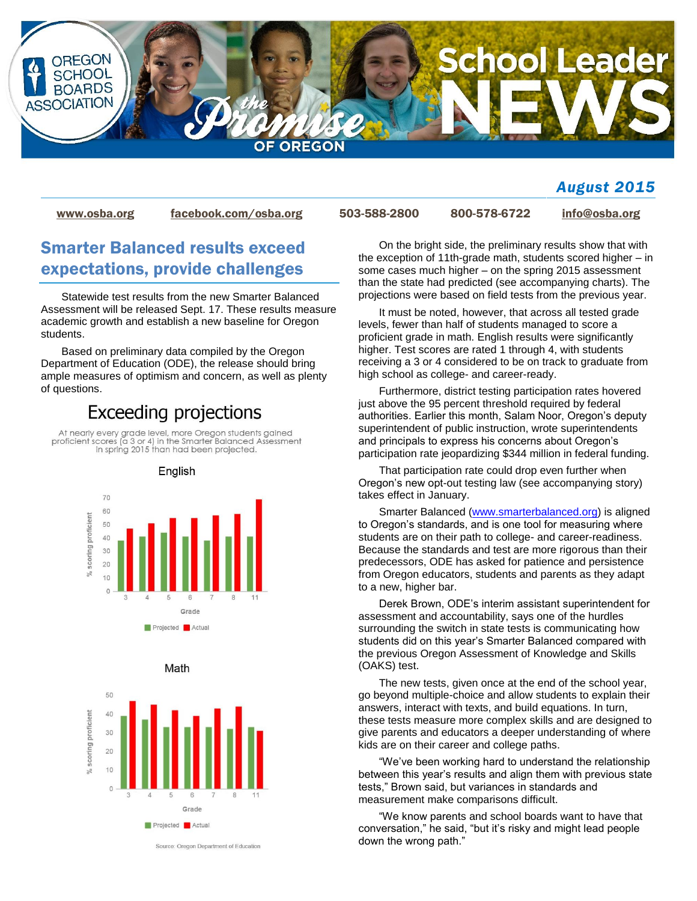

### *August 2015*

[www.osba.org](http://www.osba.org/) [facebook.com/osba.org](http://www.facebook.com/osba.org) 503-588-2800 800-578-6722 [info@osba.org](mailto:info@osba.org)

## Smarter Balanced results exceed expectations, provide challenges

Statewide test results from the new Smarter Balanced Assessment will be released Sept. 17. These results measure academic growth and establish a new baseline for Oregon students.

Based on preliminary data compiled by the Oregon Department of Education (ODE), the release should bring ample measures of optimism and concern, as well as plenty of questions.

# **Exceeding projections**

At nearly every grade level, more Oregon students gained<br>proficient scores (a 3 or 4) in the Smarter Balanced Assessment in spring 2015 than had been projected.

English



Math



Source: Oregon Department of Education

On the bright side, the preliminary results show that with the exception of 11th-grade math, students scored higher – in some cases much higher – on the spring 2015 assessment than the state had predicted (see accompanying charts). The projections were based on field tests from the previous year.

It must be noted, however, that across all tested grade levels, fewer than half of students managed to score a proficient grade in math. English results were significantly higher. Test scores are rated 1 through 4, with students receiving a 3 or 4 considered to be on track to graduate from high school as college- and career-ready.

Furthermore, district testing participation rates hovered just above the 95 percent threshold required by federal authorities. Earlier this month, Salam Noor, Oregon's deputy superintendent of public instruction, wrote superintendents and principals to express his concerns about Oregon's participation rate jeopardizing \$344 million in federal funding.

That participation rate could drop even further when Oregon's new opt-out testing law (see accompanying story) takes effect in January.

Smarter Balanced [\(www.smarterbalanced.org\)](http://www.smarterbalanced.org/) is aligned to Oregon's standards, and is one tool for measuring where students are on their path to college- and career-readiness. Because the standards and test are more rigorous than their predecessors, ODE has asked for patience and persistence from Oregon educators, students and parents as they adapt to a new, higher bar.

Derek Brown, ODE's interim assistant superintendent for assessment and accountability, says one of the hurdles surrounding the switch in state tests is communicating how students did on this year's Smarter Balanced compared with the previous Oregon Assessment of Knowledge and Skills (OAKS) test.

The new tests, given once at the end of the school year, go beyond multiple-choice and allow students to explain their answers, interact with texts, and build equations. In turn, these tests measure more complex skills and are designed to give parents and educators a deeper understanding of where kids are on their career and college paths.

"We've been working hard to understand the relationship between this year's results and align them with previous state tests," Brown said, but variances in standards and measurement make comparisons difficult.

"We know parents and school boards want to have that conversation," he said, "but it's risky and might lead people down the wrong path."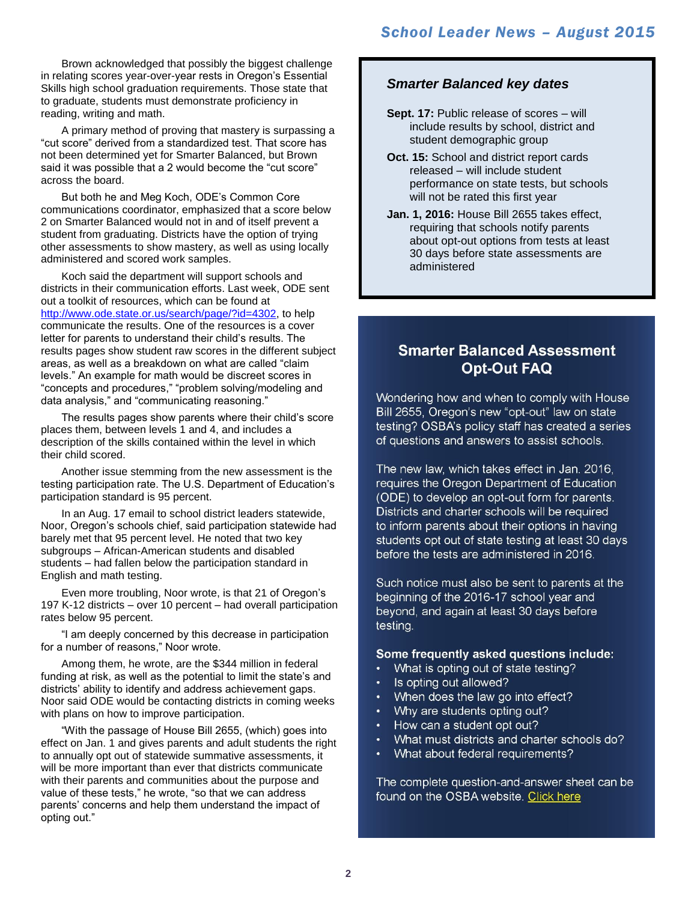Brown acknowledged that possibly the biggest challenge in relating scores year-over-year rests in Oregon's Essential Skills high school graduation requirements. Those state that to graduate, students must demonstrate proficiency in reading, writing and math.

A primary method of proving that mastery is surpassing a "cut score" derived from a standardized test. That score has not been determined yet for Smarter Balanced, but Brown said it was possible that a 2 would become the "cut score" across the board.

But both he and Meg Koch, ODE's Common Core communications coordinator, emphasized that a score below 2 on Smarter Balanced would not in and of itself prevent a student from graduating. Districts have the option of trying other assessments to show mastery, as well as using locally administered and scored work samples.

Koch said the department will support schools and districts in their communication efforts. Last week, ODE sent out a toolkit of resources, which can be found at [http://www.ode.state.or.us/search/page/?id=4302,](http://www.ode.state.or.us/search/page/?id=4302) to help communicate the results. One of the resources is a cover letter for parents to understand their child's results. The results pages show student raw scores in the different subject areas, as well as a breakdown on what are called "claim levels." An example for math would be discreet scores in "concepts and procedures," "problem solving/modeling and data analysis," and "communicating reasoning."

The results pages show parents where their child's score places them, between levels 1 and 4, and includes a description of the skills contained within the level in which their child scored.

Another issue stemming from the new assessment is the testing participation rate. The U.S. Department of Education's participation standard is 95 percent.

In an Aug. 17 email to school district leaders statewide, Noor, Oregon's schools chief, said participation statewide had barely met that 95 percent level. He noted that two key subgroups – African-American students and disabled students – had fallen below the participation standard in English and math testing.

Even more troubling, Noor wrote, is that 21 of Oregon's 197 K-12 districts – over 10 percent – had overall participation rates below 95 percent.

"I am deeply concerned by this decrease in participation for a number of reasons," Noor wrote.

Among them, he wrote, are the \$344 million in federal funding at risk, as well as the potential to limit the state's and districts' ability to identify and address achievement gaps. Noor said ODE would be contacting districts in coming weeks with plans on how to improve participation.

"With the passage of House Bill 2655, (which) goes into effect on Jan. 1 and gives parents and adult students the right to annually opt out of statewide summative assessments, it will be more important than ever that districts communicate with their parents and communities about the purpose and value of these tests," he wrote, "so that we can address parents' concerns and help them understand the impact of opting out."

#### *Smarter Balanced key dates*

- **Sept. 17:** Public release of scores will include results by school, district and student demographic group
- **Oct. 15:** School and district report cards released – will include student performance on state tests, but schools will not be rated this first year
- **Jan. 1, 2016:** House Bill 2655 takes effect, requiring that schools notify parents about opt-out options from tests at least 30 days before state assessments are administered

### **Smarter Balanced Assessment Opt-Out FAQ**

Wondering how and when to comply with House Bill 2655, Oregon's new "opt-out" law on state testing? OSBA's policy staff has created a series of questions and answers to assist schools.

The new law, which takes effect in Jan. 2016, requires the Oregon Department of Education (ODE) to develop an opt-out form for parents. Districts and charter schools will be required to inform parents about their options in having students opt out of state testing at least 30 days before the tests are administered in 2016.

Such notice must also be sent to parents at the beginning of the 2016-17 school year and beyond, and again at least 30 days before testing.

#### Some frequently asked questions include:

- $\bullet$ What is opting out of state testing?
- Is opting out allowed?
- When does the law go into effect?
- Why are students opting out?  $\bullet$
- How can a student opt out?
- What must districts and charter schools do?
- What about federal requirements?

The complete question-and-answer sheet can be found on the OSBA website. Click here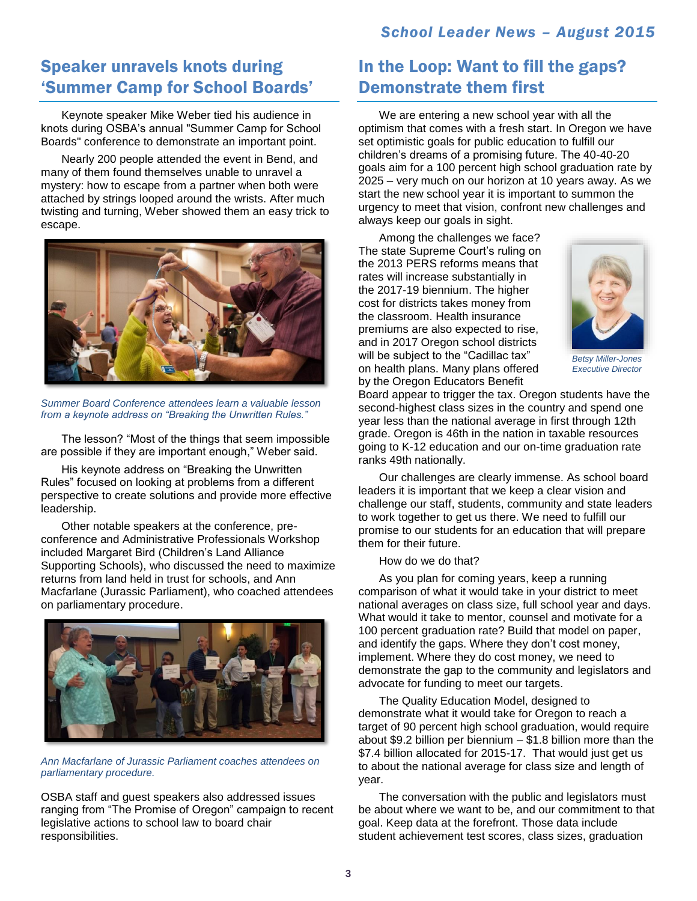## *School Leader News – August 2015*

## Speaker unravels knots during 'Summer Camp for School Boards'

Keynote speaker Mike Weber tied his audience in knots during OSBA's annual "Summer Camp for School Boards" conference to demonstrate an important point.

Nearly 200 people attended the event in Bend, and many of them found themselves unable to unravel a mystery: how to escape from a partner when both were attached by strings looped around the wrists. After much twisting and turning, Weber showed them an easy trick to escape.



*Summer Board Conference attendees learn a valuable lesson from a keynote address on "Breaking the Unwritten Rules."*

The lesson? "Most of the things that seem impossible are possible if they are important enough," Weber said.

His keynote address on "Breaking the Unwritten Rules" focused on looking at problems from a different perspective to create solutions and provide more effective leadership.

Other notable speakers at the conference, preconference and Administrative Professionals Workshop included Margaret Bird (Children's Land Alliance Supporting Schools), who discussed the need to maximize returns from land held in trust for schools, and Ann Macfarlane (Jurassic Parliament), who coached attendees on parliamentary procedure.



*Ann Macfarlane of Jurassic Parliament coaches attendees on parliamentary procedure.*

OSBA staff and guest speakers also addressed issues ranging from "The Promise of Oregon" campaign to recent legislative actions to school law to board chair responsibilities.

# In the Loop: Want to fill the gaps? Demonstrate them first

We are entering a new school year with all the optimism that comes with a fresh start. In Oregon we have set optimistic goals for public education to fulfill our children's dreams of a promising future. The 40-40-20 goals aim for a 100 percent high school graduation rate by 2025 – very much on our horizon at 10 years away. As we start the new school year it is important to summon the urgency to meet that vision, confront new challenges and always keep our goals in sight.

Among the challenges we face? The state Supreme Court's ruling on the 2013 PERS reforms means that rates will increase substantially in the 2017-19 biennium. The higher cost for districts takes money from the classroom. Health insurance premiums are also expected to rise, and in 2017 Oregon school districts will be subject to the "Cadillac tax" on health plans. Many plans offered by the Oregon Educators Benefit



*Betsy Miller-Jones Executive Director*

Board appear to trigger the tax. Oregon students have the second-highest class sizes in the country and spend one year less than the national average in first through 12th grade. Oregon is 46th in the nation in taxable resources going to K-12 education and our on-time graduation rate ranks 49th nationally.

Our challenges are clearly immense. As school board leaders it is important that we keep a clear vision and challenge our staff, students, community and state leaders to work together to get us there. We need to fulfill our promise to our students for an education that will prepare them for their future.

How do we do that?

As you plan for coming years, keep a running comparison of what it would take in your district to meet national averages on class size, full school year and days. What would it take to mentor, counsel and motivate for a 100 percent graduation rate? Build that model on paper, and identify the gaps. Where they don't cost money, implement. Where they do cost money, we need to demonstrate the gap to the community and legislators and advocate for funding to meet our targets.

The Quality Education Model, designed to demonstrate what it would take for Oregon to reach a target of 90 percent high school graduation, would require about \$9.2 billion per biennium – \$1.8 billion more than the \$7.4 billion allocated for 2015-17. That would just get us to about the national average for class size and length of year.

The conversation with the public and legislators must be about where we want to be, and our commitment to that goal. Keep data at the forefront. Those data include student achievement test scores, class sizes, graduation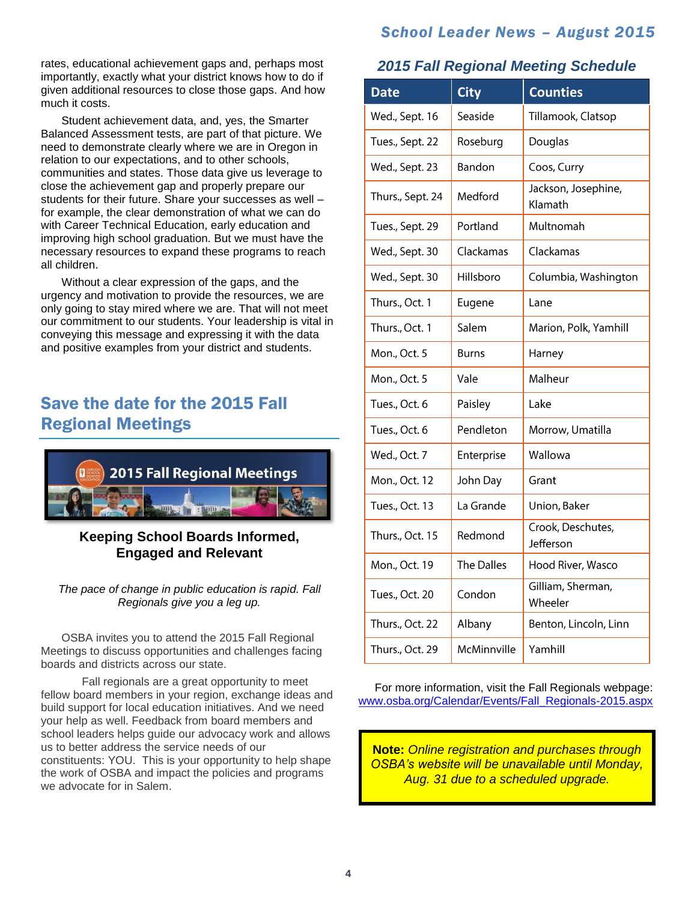### *School Leader News – August 2015*

rates, educational achievement gaps and, perhaps most importantly, exactly what your district knows how to do if given additional resources to close those gaps. And how much it costs.

Student achievement data, and, yes, the Smarter Balanced Assessment tests, are part of that picture. We need to demonstrate clearly where we are in Oregon in relation to our expectations, and to other schools, communities and states. Those data give us leverage to close the achievement gap and properly prepare our students for their future. Share your successes as well – for example, the clear demonstration of what we can do with Career Technical Education, early education and improving high school graduation. But we must have the necessary resources to expand these programs to reach all children.

Without a clear expression of the gaps, and the urgency and motivation to provide the resources, we are only going to stay mired where we are. That will not meet our commitment to our students. Your leadership is vital in conveying this message and expressing it with the data and positive examples from your district and students.

# Save the date for the 2015 Fall Regional Meetings



#### **Keeping School Boards Informed, Engaged and Relevant**

*The pace of change in public education is rapid. Fall Regionals give you a leg up.*

OSBA invites you to attend the 2015 Fall Regional Meetings to discuss opportunities and challenges facing boards and districts across our state.

Fall regionals are a great opportunity to meet fellow board members in your region, exchange ideas and build support for local education initiatives. And we need your help as well. Feedback from board members and school leaders helps quide our advocacy work and allows us to better address the service needs of our constituents: YOU. This is your opportunity to help shape the work of OSBA and impact the policies and programs we advocate for in Salem.

## *2015 Fall Regional Meeting Schedule*

| <b>Date</b>      | <b>City</b>  | <b>Counties</b>                |
|------------------|--------------|--------------------------------|
| Wed., Sept. 16   | Seaside      | Tillamook, Clatsop             |
| Tues., Sept. 22  | Roseburg     | Douglas                        |
| Wed., Sept. 23   | Bandon       | Coos, Curry                    |
| Thurs., Sept. 24 | Medford      | Jackson, Josephine,<br>Klamath |
| Tues., Sept. 29  | Portland     | Multnomah                      |
| Wed., Sept. 30   | Clackamas    | Clackamas                      |
| Wed., Sept. 30   | Hillsboro    | Columbia, Washington           |
| Thurs., Oct. 1   | Eugene       | Lane                           |
| Thurs., Oct. 1   | Salem        | Marion, Polk, Yamhill          |
| Mon., Oct. 5     | <b>Burns</b> | Harney                         |
| Mon., Oct. 5     | Vale         | Malheur                        |
| Tues., Oct. 6    | Paisley      | Lake                           |
| Tues., Oct. 6    | Pendleton    | Morrow, Umatilla               |
| Wed., Oct. 7     | Enterprise   | Wallowa                        |
| Mon., Oct. 12    | John Day     | Grant                          |
| Tues., Oct. 13   | La Grande    | Union, Baker                   |
| Thurs., Oct. 15  | Redmond      | Crook, Deschutes,<br>Jefferson |
| Mon., Oct. 19    | The Dalles   | Hood River, Wasco              |
| Tues., Oct. 20   | Condon       | Gilliam, Sherman,<br>Wheeler   |
| Thurs., Oct. 22  | Albany       | Benton, Lincoln, Linn          |
| Thurs., Oct. 29  | McMinnville  | Yamhill                        |

For more information, visit the Fall Regionals webpage: [www.osba.org/Calendar/Events/Fall\\_Regionals-2015.aspx](http://www.osba.org/Calendar/Events/Fall_Regionals-2015.aspx)

**Note:** *Online registration and purchases through OSBA's website will be unavailable until Monday, Aug. 31 due to a scheduled upgrade.*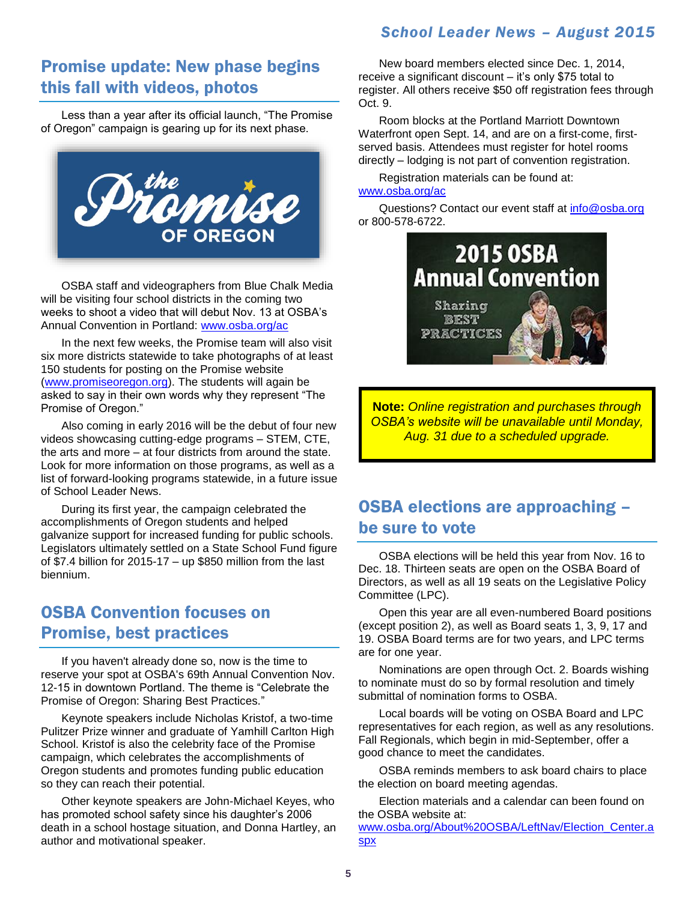### *School Leader News – August 2015*

## Promise update: New phase begins this fall with videos, photos

Less than a year after its official launch, "The Promise of Oregon" campaign is gearing up for its next phase.



OSBA staff and videographers from Blue Chalk Media will be visiting four school districts in the coming two weeks to shoot a video that will debut Nov. 13 at OSBA's Annual Convention in Portland: [www.osba.org/ac](http://www.osba.org/ac)

In the next few weeks, the Promise team will also visit six more districts statewide to take photographs of at least 150 students for posting on the Promise website [\(www.promiseoregon.org\)](http://www.promiseoregon.org/). The students will again be asked to say in their own words why they represent "The Promise of Oregon."

Also coming in early 2016 will be the debut of four new videos showcasing cutting-edge programs – STEM, CTE, the arts and more – at four districts from around the state. Look for more information on those programs, as well as a list of forward-looking programs statewide, in a future issue of School Leader News.

During its first year, the campaign celebrated the accomplishments of Oregon students and helped galvanize support for increased funding for public schools. Legislators ultimately settled on a State School Fund figure of \$7.4 billion for 2015-17 – up \$850 million from the last biennium.

## OSBA Convention focuses on Promise, best practices

If you haven't already done so, now is the time to reserve your spot at OSBA's 69th Annual Convention Nov. 12-15 in downtown Portland. The theme is "Celebrate the Promise of Oregon: Sharing Best Practices."

Keynote speakers include Nicholas Kristof, a two-time Pulitzer Prize winner and graduate of Yamhill Carlton High School. Kristof is also the celebrity face of the Promise campaign, which celebrates the accomplishments of Oregon students and promotes funding public education so they can reach their potential.

Other keynote speakers are John-Michael Keyes, who has promoted school safety since his daughter's 2006 death in a school hostage situation, and Donna Hartley, an author and motivational speaker.

New board members elected since Dec. 1, 2014, receive a significant discount – it's only \$75 total to register. All others receive \$50 off registration fees through Oct. 9.

Room blocks at the Portland Marriott Downtown Waterfront open Sept. 14, and are on a first-come, firstserved basis. Attendees must register for hotel rooms directly – lodging is not part of convention registration.

Registration materials can be found at: [www.osba.org/ac](http://www.osba.org/ac)

Questions? Contact our event staff at [info@osba.org](mailto:info@osba.org) or 800-578-6722.



**Note:** *Online registration and purchases through OSBA's website will be unavailable until Monday, Aug. 31 due to a scheduled upgrade.*

# OSBA elections are approaching – be sure to vote

OSBA elections will be held this year from Nov. 16 to Dec. 18. Thirteen seats are open on the OSBA Board of Directors, as well as all 19 seats on the Legislative Policy Committee (LPC).

Open this year are all even-numbered Board positions (except position 2), as well as Board seats 1, 3, 9, 17 and 19. OSBA Board terms are for two years, and LPC terms are for one year.

Nominations are open through Oct. 2. Boards wishing to nominate must do so by formal resolution and timely submittal of nomination forms to OSBA.

Local boards will be voting on OSBA Board and LPC representatives for each region, as well as any resolutions. Fall Regionals, which begin in mid-September, offer a good chance to meet the candidates.

OSBA reminds members to ask board chairs to place the election on board meeting agendas.

Election materials and a calendar can been found on the OSBA website at: [www.osba.org/About%20OSBA/LeftNav/Election\\_Center.a](http://www.osba.org/About%20OSBA/LeftNav/Election_Center.aspx) [spx](http://www.osba.org/About%20OSBA/LeftNav/Election_Center.aspx)